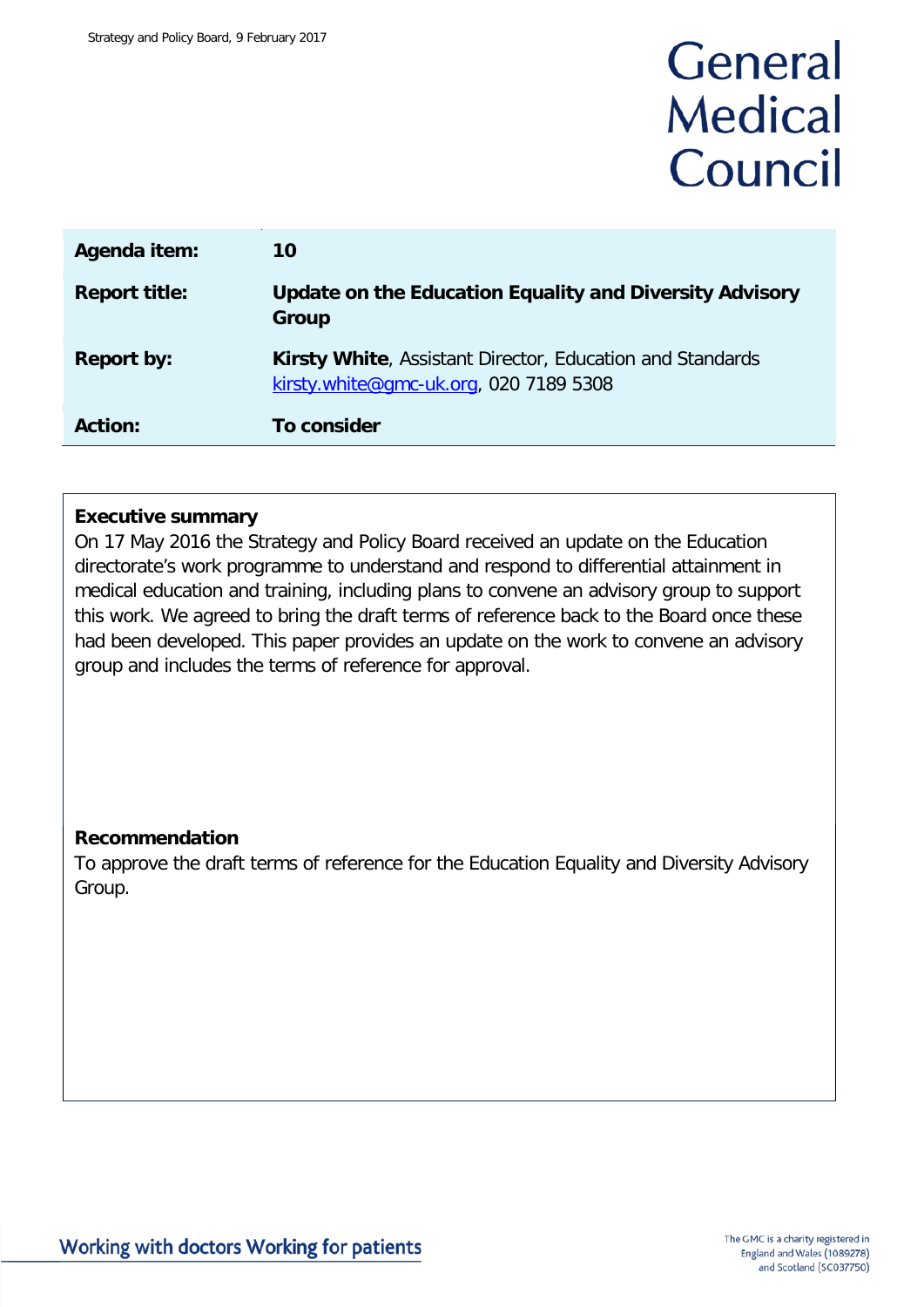# General **Medical** Council

| Agenda item:         | 10                                                                                                         |
|----------------------|------------------------------------------------------------------------------------------------------------|
| <b>Report title:</b> | Update on the Education Equality and Diversity Advisory<br>Group                                           |
| <b>Report by:</b>    | <b>Kirsty White, Assistant Director, Education and Standards</b><br>kirsty.white@gmc-uk.org, 020 7189 5308 |
| <b>Action:</b>       | To consider                                                                                                |

### **Executive summary**

On 17 May 2016 the Strategy and Policy Board received an update on the Education directorate's work programme to understand and respond to differential attainment in medical education and training, including plans to convene an advisory group to support this work. We agreed to bring the draft terms of reference back to the Board once these had been developed. This paper provides an update on the work to convene an advisory group and includes the terms of reference for approval.

### **Recommendation**

To approve the draft terms of reference for the Education Equality and Diversity Advisory Group.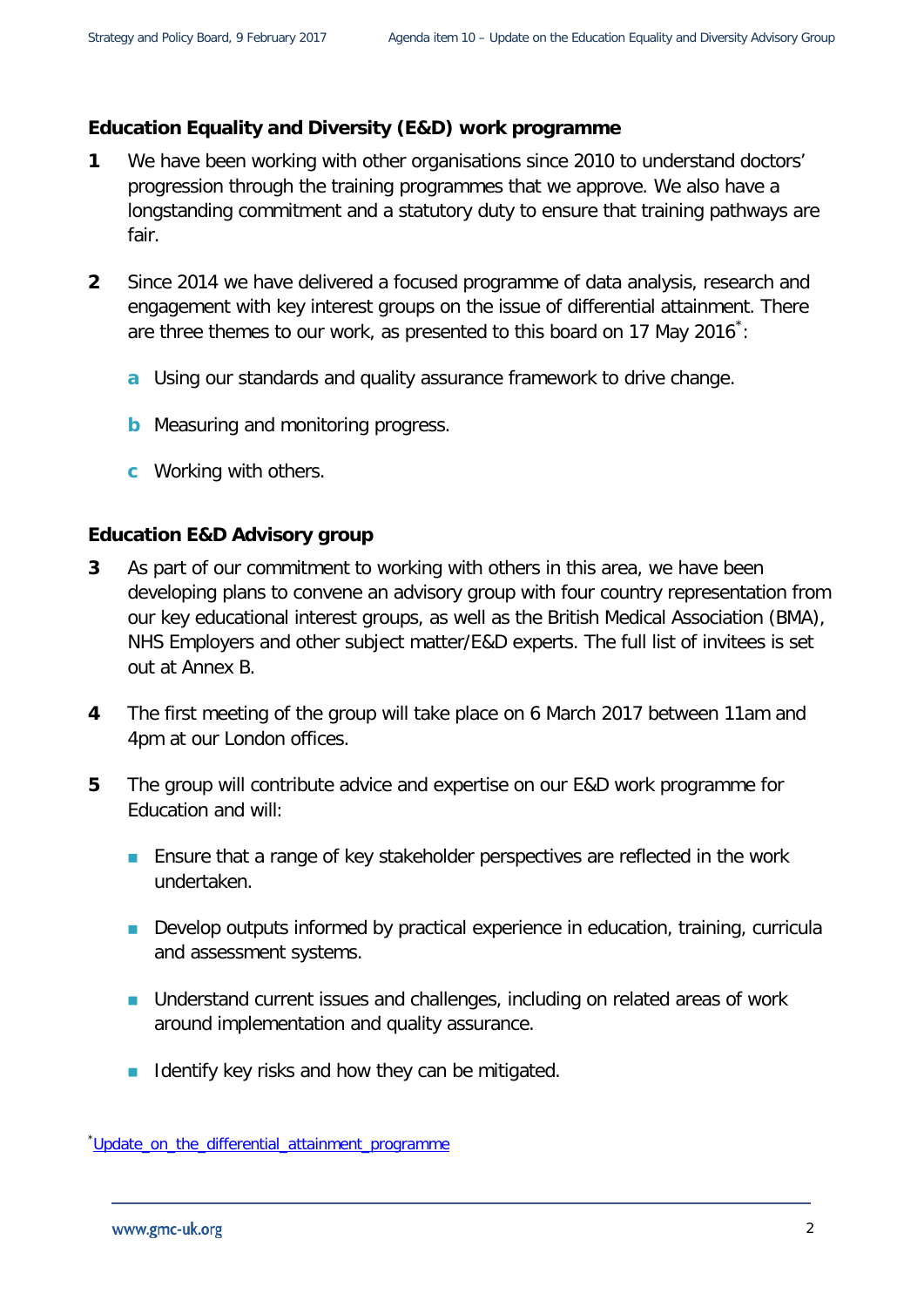### **Education Equality and Diversity (E&D) work programme**

- **1** We have been working with other organisations since 2010 to understand doctors' progression through the training programmes that we approve. We also have a longstanding commitment and a statutory duty to ensure that training pathways are fair.
- **2** Since 2014 we have delivered a focused programme of data analysis, research and engagement with key interest groups on the issue of differential attainment. There are three themes to our work, as presented to this board on 17 May 2016 $\dot{\,}$ :
	- **a** Using our standards and quality assurance framework to drive change.
	- **b** Measuring and monitoring progress.
	- **c** Working with others.

### **Education E&D Advisory group**

- **3** As part of our commitment to working with others in this area, we have been developing plans to convene an advisory group with four country representation from our key educational interest groups, as well as the British Medical Association (BMA), NHS Employers and other subject matter/E&D experts. The full list of invitees is set out at Annex B.
- **4** The first meeting of the group will take place on 6 March 2017 between 11am and 4pm at our London offices.
- **5** The group will contribute advice and expertise on our E&D work programme for Education and will:
	- **Ensure that a range of key stakeholder perspectives are reflected in the work** undertaken.
	- **Develop outputs informed by practical experience in education, training, curricula** and assessment systems.
	- **Understand current issues and challenges, including on related areas of work** around implementation and quality assurance.
	- I Identify key risks and how they can be mitigated.

<span id="page-1-0"></span><sup>\*</sup>[Update\\_on\\_the\\_differential\\_attainment\\_programme](http://livelink/edrms/llisapi.dll/fetch/2000/19821/21784694/50900871/61358730/61509711/61509639/64057527/04_-_Update_on_the_differential_attainment_programme.pdf?nodeid=66065278&vernum=-2)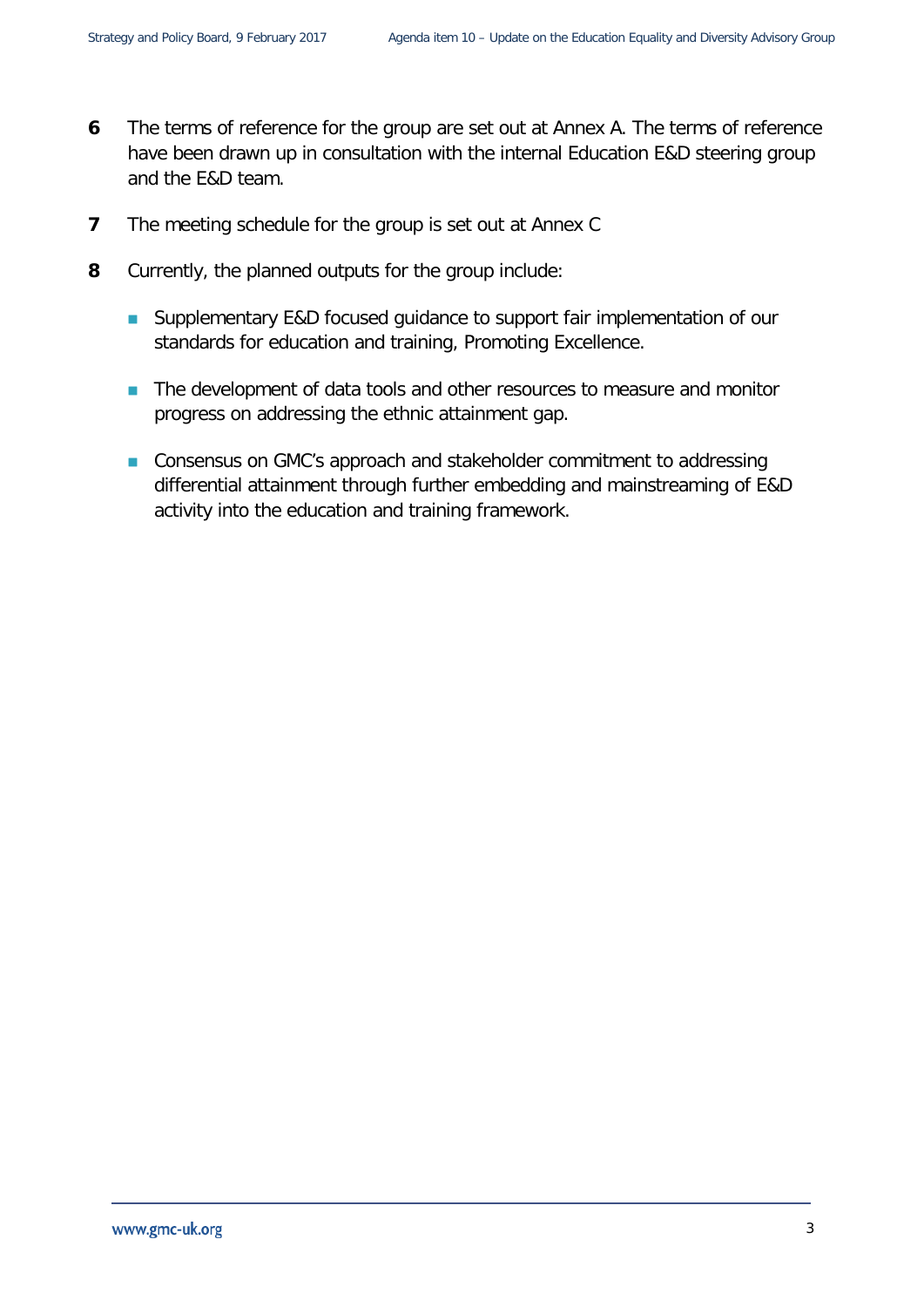- **6** The terms of reference for the group are set out at Annex A. The terms of reference have been drawn up in consultation with the internal Education E&D steering group and the E&D team.
- **7** The meeting schedule for the group is set out at Annex C
- **8** Currently, the planned outputs for the group include:
	- Supplementary E&D focused guidance to support fair implementation of our standards for education and training, Promoting Excellence.
	- The development of data tools and other resources to measure and monitor progress on addressing the ethnic attainment gap.
	- Consensus on GMC's approach and stakeholder commitment to addressing differential attainment through further embedding and mainstreaming of E&D activity into the education and training framework.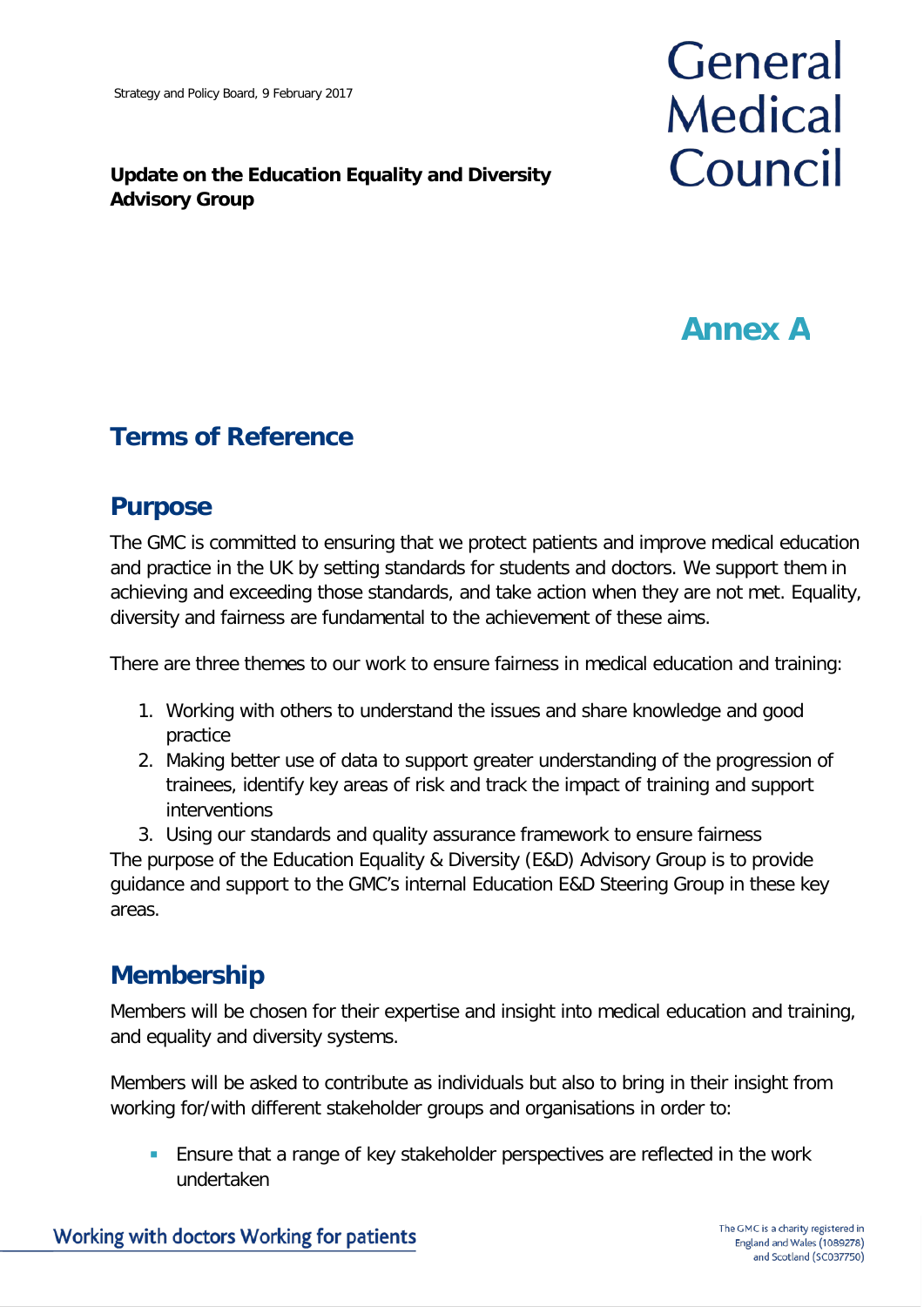### **Update on the Education Equality and Diversity Advisory Group**

# General **Medical** Council

## **Annex A**

## **Terms of Reference**

### **Purpose**

The GMC is committed to ensuring that we protect patients and improve medical education and practice in the UK by setting standards for students and doctors. We support them in achieving and exceeding those standards, and take action when they are not met. Equality, diversity and fairness are fundamental to the achievement of these aims.

There are three themes to our work to ensure fairness in medical education and training:

- 1. Working with others to understand the issues and share knowledge and good practice
- 2. Making better use of data to support greater understanding of the progression of trainees, identify key areas of risk and track the impact of training and support interventions
- 3. Using our standards and quality assurance framework to ensure fairness The purpose of the Education Equality & Diversity (E&D) Advisory Group is to provide

guidance and support to the GMC's internal Education E&D Steering Group in these key areas.

## **Membership**

Members will be chosen for their expertise and insight into medical education and training, and equality and diversity systems.

Members will be asked to contribute as individuals but also to bring in their insight from working for/with different stakeholder groups and organisations in order to:

 Ensure that a range of key stakeholder perspectives are reflected in the work undertaken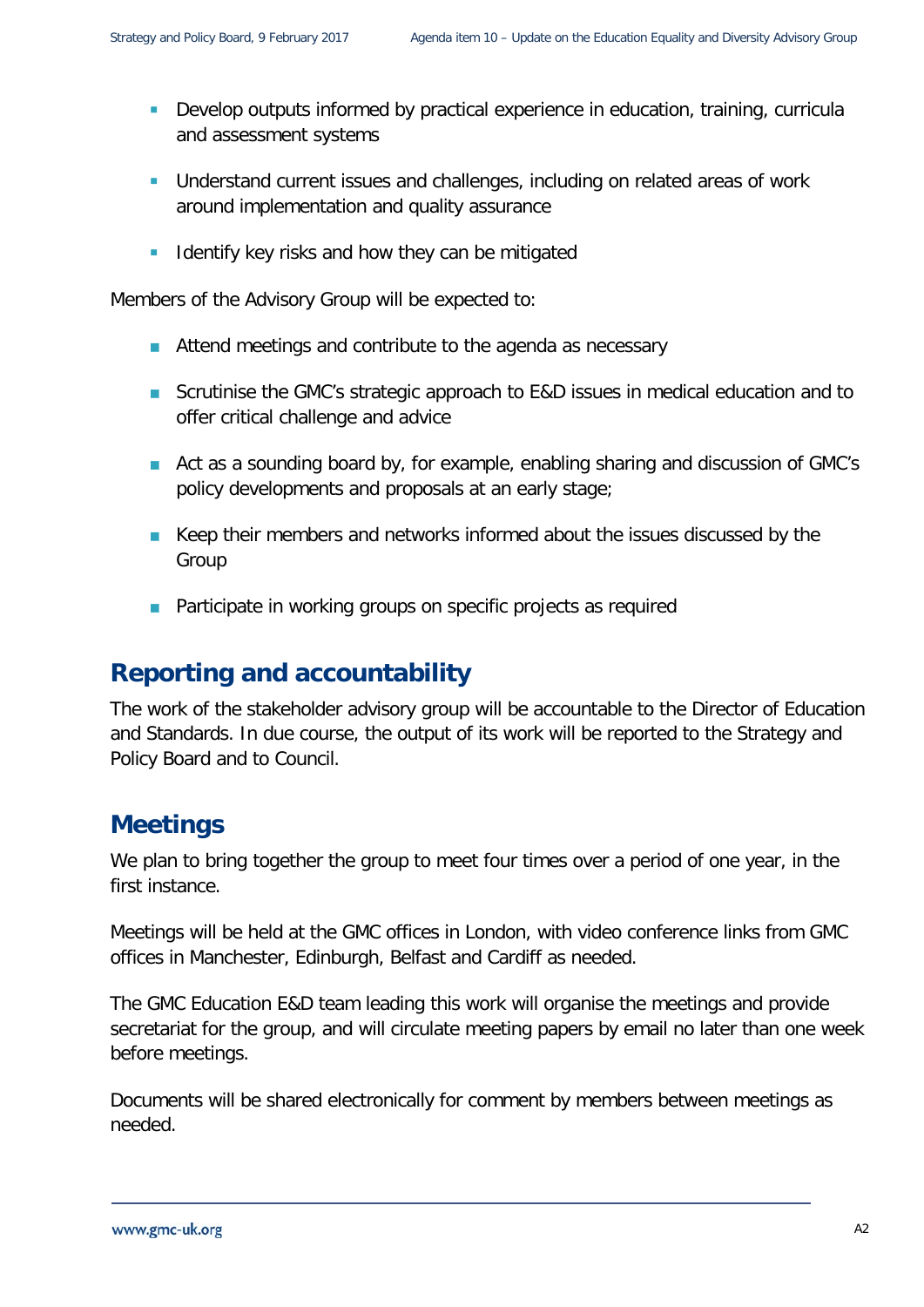- **Develop outputs informed by practical experience in education, training, curricula** and assessment systems
- Understand current issues and challenges, including on related areas of work around implementation and quality assurance
- I Identify key risks and how they can be mitigated

Members of the Advisory Group will be expected to:

- Attend meetings and contribute to the agenda as necessary
- Scrutinise the GMC's strategic approach to E&D issues in medical education and to offer critical challenge and advice
- Act as a sounding board by, for example, enabling sharing and discussion of GMC's policy developments and proposals at an early stage;
- Keep their members and networks informed about the issues discussed by the Group
- **Participate in working groups on specific projects as required**

### **Reporting and accountability**

The work of the stakeholder advisory group will be accountable to the Director of Education and Standards. In due course, the output of its work will be reported to the Strategy and Policy Board and to Council.

### **Meetings**

We plan to bring together the group to meet four times over a period of one year, in the first instance.

Meetings will be held at the GMC offices in London, with video conference links from GMC offices in Manchester, Edinburgh, Belfast and Cardiff as needed.

The GMC Education E&D team leading this work will organise the meetings and provide secretariat for the group, and will circulate meeting papers by email no later than one week before meetings.

Documents will be shared electronically for comment by members between meetings as needed.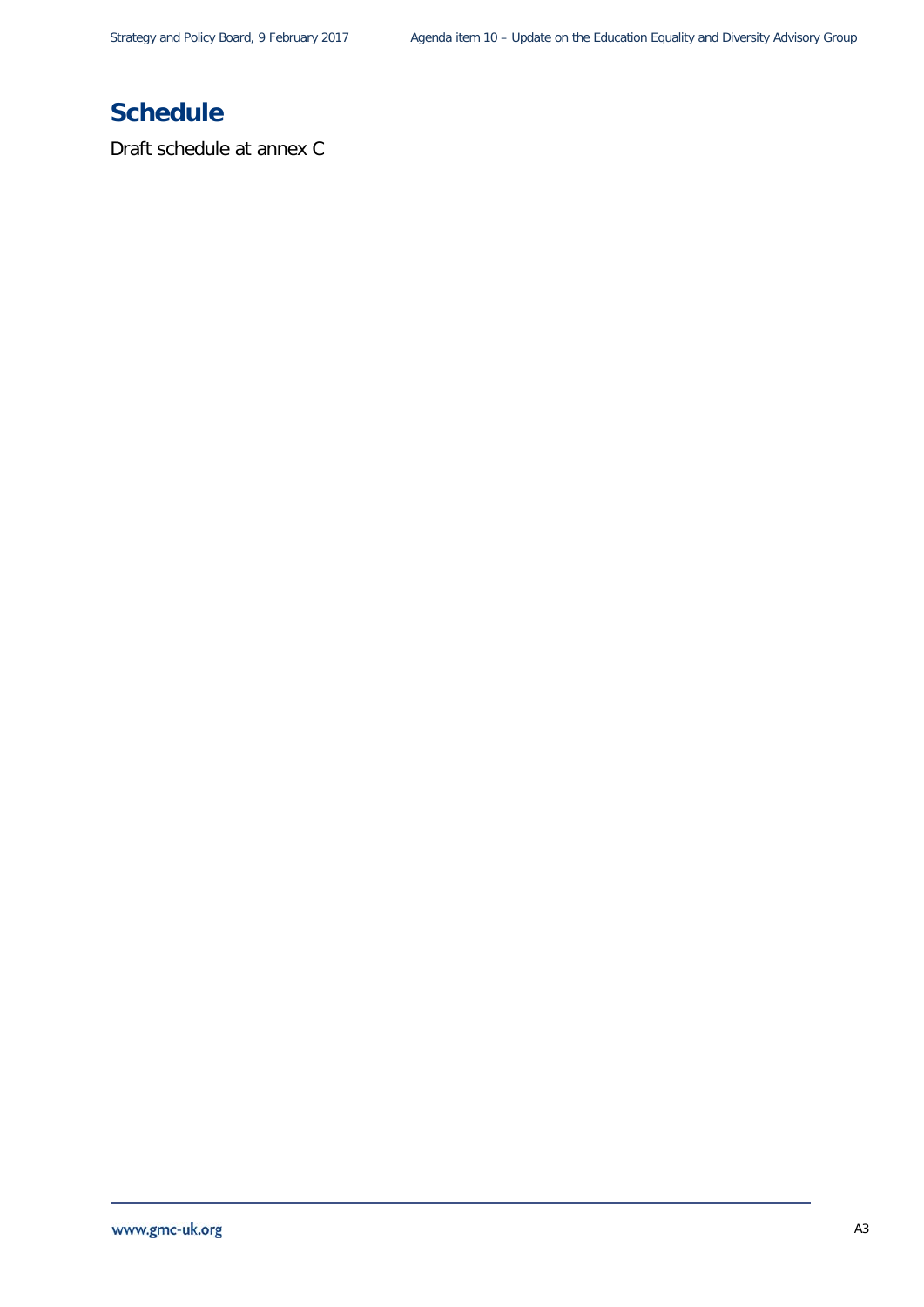## **Schedule**

Draft schedule at annex C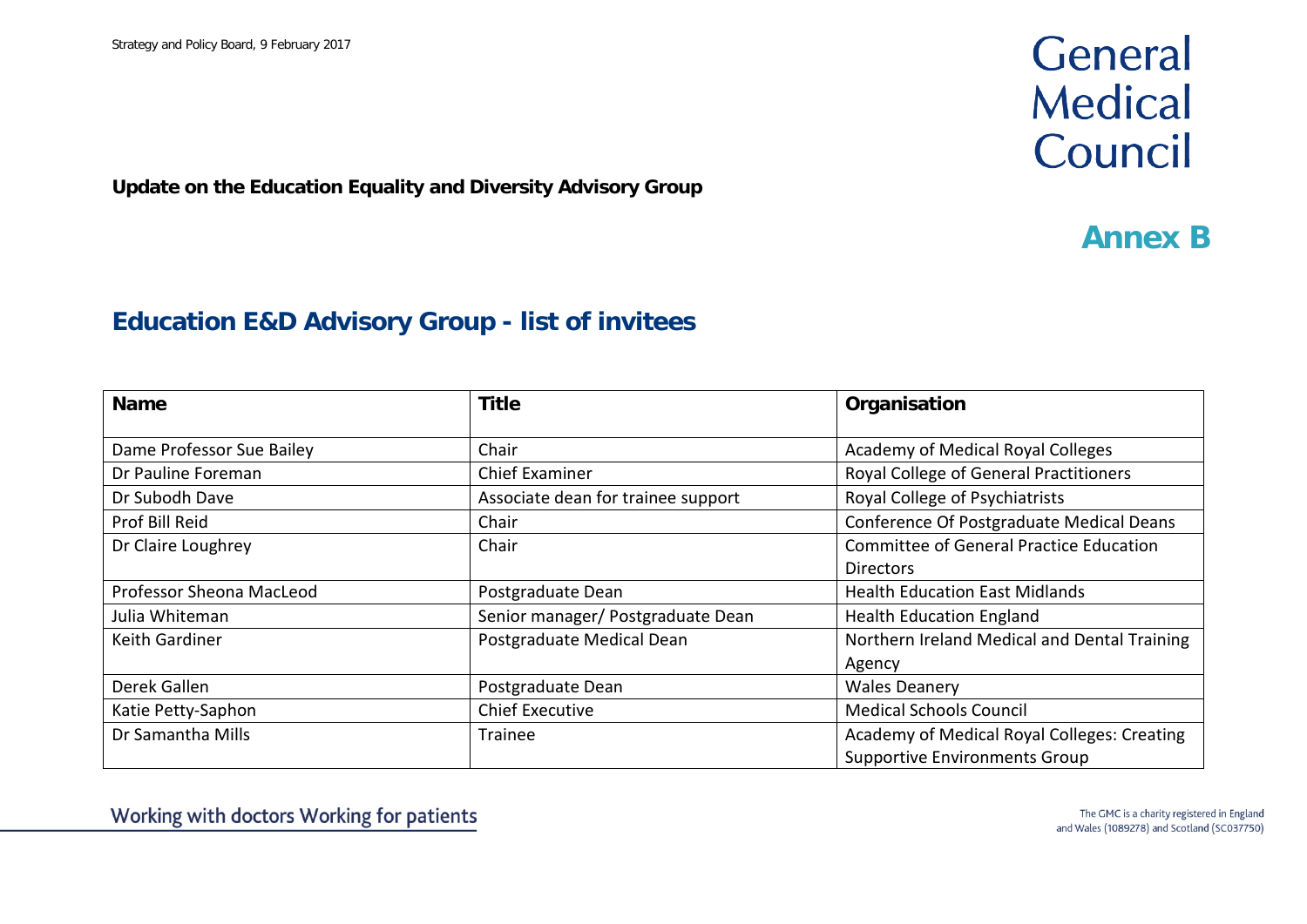## General **Medical** Council

**Update on the Education Equality and Diversity Advisory Group**

## **Annex B**

### **Education E&D Advisory Group - list of invitees**

| <b>Name</b>               | <b>Title</b>                       | Organisation                                 |
|---------------------------|------------------------------------|----------------------------------------------|
| Dame Professor Sue Bailey | Chair                              | Academy of Medical Royal Colleges            |
| Dr Pauline Foreman        | <b>Chief Examiner</b>              | Royal College of General Practitioners       |
| Dr Subodh Dave            | Associate dean for trainee support | Royal College of Psychiatrists               |
| Prof Bill Reid            | Chair                              | Conference Of Postgraduate Medical Deans     |
| Dr Claire Loughrey        | Chair                              | Committee of General Practice Education      |
|                           |                                    | <b>Directors</b>                             |
| Professor Sheona MacLeod  | Postgraduate Dean                  | <b>Health Education East Midlands</b>        |
| Julia Whiteman            | Senior manager/ Postgraduate Dean  | <b>Health Education England</b>              |
| <b>Keith Gardiner</b>     | Postgraduate Medical Dean          | Northern Ireland Medical and Dental Training |
|                           |                                    | Agency                                       |
| Derek Gallen              | Postgraduate Dean                  | <b>Wales Deanery</b>                         |
| Katie Petty-Saphon        | <b>Chief Executive</b>             | <b>Medical Schools Council</b>               |
| Dr Samantha Mills         | Trainee                            | Academy of Medical Royal Colleges: Creating  |
|                           |                                    | <b>Supportive Environments Group</b>         |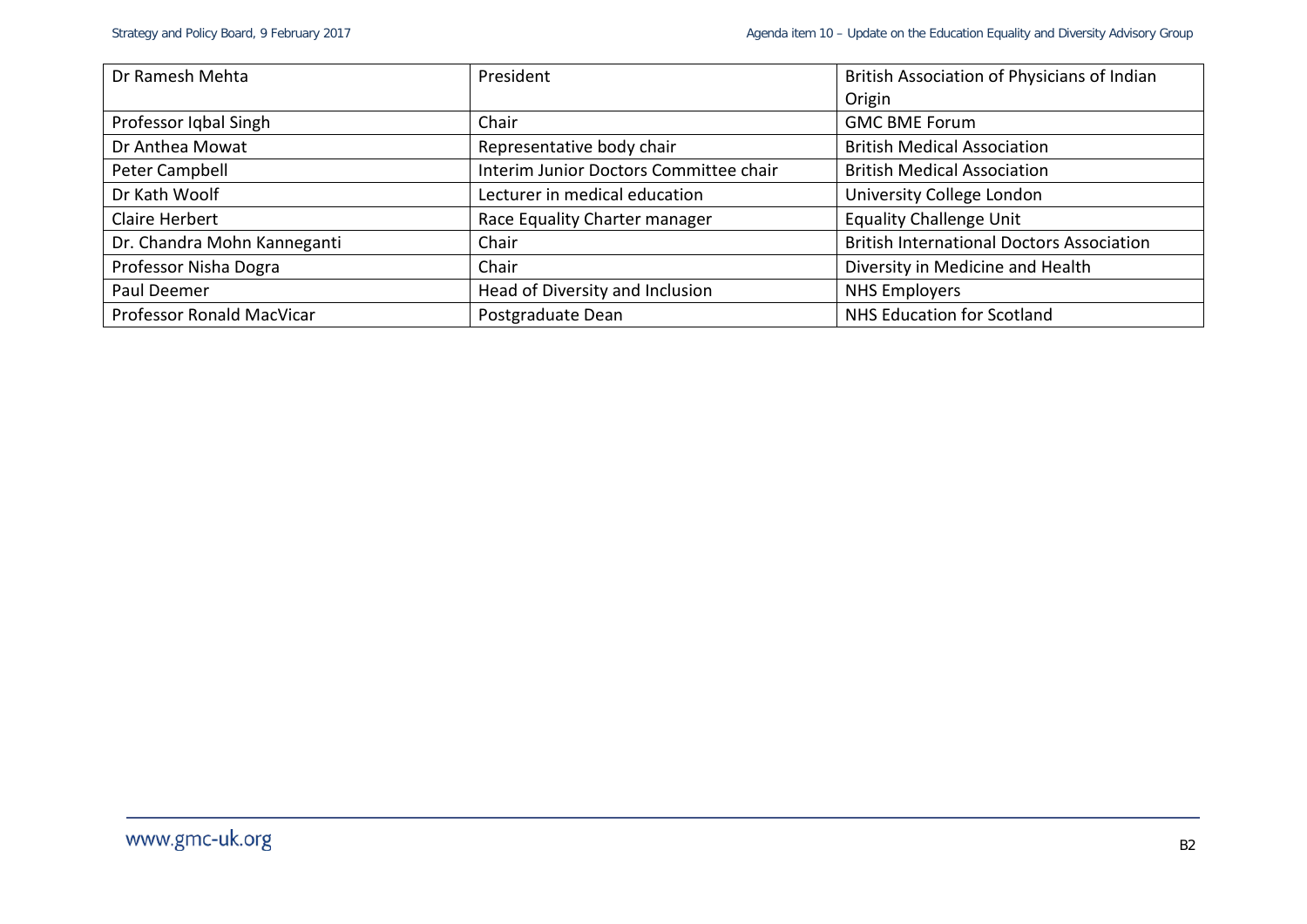| Dr Ramesh Mehta             | President                              | British Association of Physicians of Indian      |
|-----------------------------|----------------------------------------|--------------------------------------------------|
|                             |                                        | Origin                                           |
| Professor Iqbal Singh       | Chair                                  | <b>GMC BME Forum</b>                             |
| Dr Anthea Mowat             | Representative body chair              | <b>British Medical Association</b>               |
| Peter Campbell              | Interim Junior Doctors Committee chair | <b>British Medical Association</b>               |
| Dr Kath Woolf               | Lecturer in medical education          | University College London                        |
| <b>Claire Herbert</b>       | Race Equality Charter manager          | <b>Equality Challenge Unit</b>                   |
| Dr. Chandra Mohn Kanneganti | Chair                                  | <b>British International Doctors Association</b> |
| Professor Nisha Dogra       | Chair                                  | Diversity in Medicine and Health                 |
| Paul Deemer                 | Head of Diversity and Inclusion        | <b>NHS Employers</b>                             |
| Professor Ronald MacVicar   | Postgraduate Dean                      | NHS Education for Scotland                       |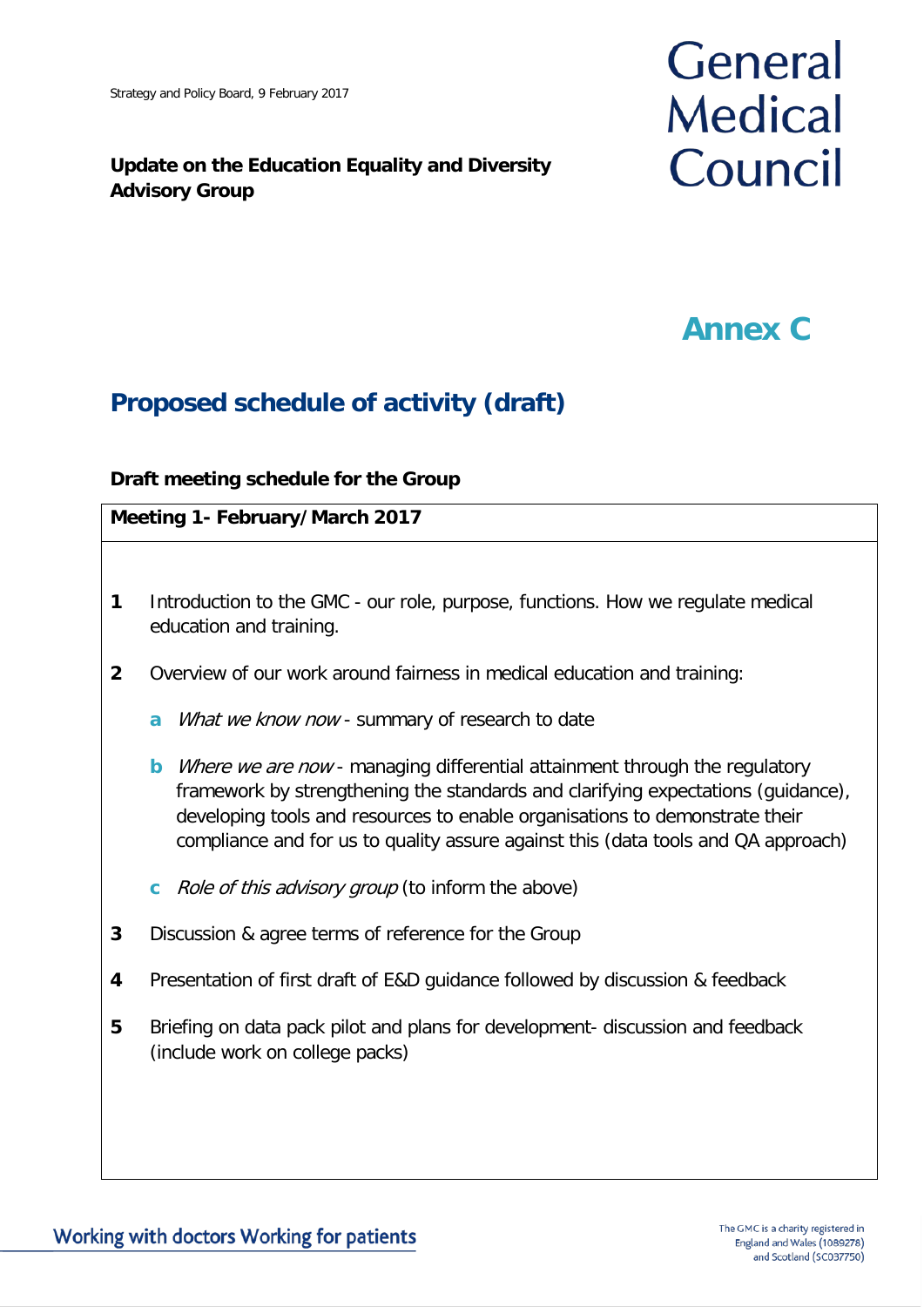### **Update on the Education Equality and Diversity Advisory Group**

# General **Medical** Council

## **Annex C**

## **Proposed schedule of activity (draft)**

### **Draft meeting schedule for the Group**

### **Meeting 1- February/March 2017**

- **1** Introduction to the GMC our role, purpose, functions. How we regulate medical education and training.
- **2** Overview of our work around fairness in medical education and training:
	- **a** *What we know now* summary of research to date
	- **b** *Where we are now* managing differential attainment through the regulatory framework by strengthening the standards and clarifying expectations (guidance), developing tools and resources to enable organisations to demonstrate their compliance and for us to quality assure against this (data tools and QA approach)
	- **c** Role of this advisory group (to inform the above)
- **3** Discussion & agree terms of reference for the Group
- **4** Presentation of first draft of E&D guidance followed by discussion & feedback
- **5** Briefing on data pack pilot and plans for development- discussion and feedback (include work on college packs)